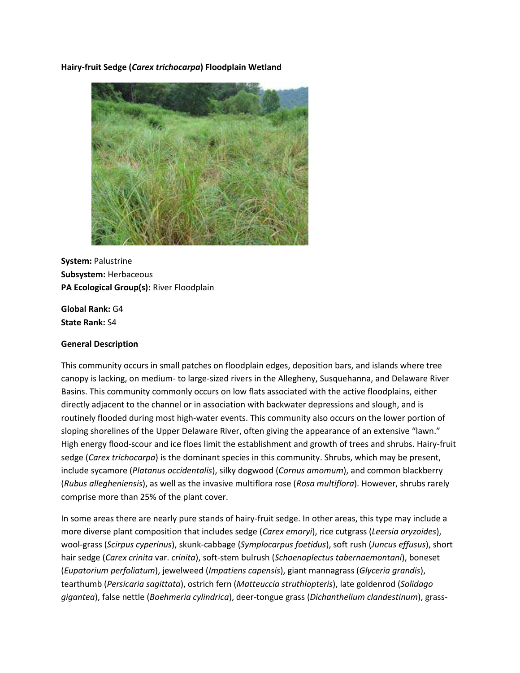**Hairy-fruit Sedge (***Carex trichocarpa***) Floodplain Wetland**



**System:** Palustrine **Subsystem:** Herbaceous **PA Ecological Group(s):** River Floodplain

**Global Rank:** G4 **State Rank:** S4

## **General Description**

This community occurs in small patches on floodplain edges, deposition bars, and islands where tree canopy is lacking, on medium- to large-sized rivers in the Allegheny, Susquehanna, and Delaware River Basins. This community commonly occurs on low flats associated with the active floodplains, either directly adjacent to the channel or in association with backwater depressions and slough, and is routinely flooded during most high-water events. This community also occurs on the lower portion of sloping shorelines of the Upper Delaware River, often giving the appearance of an extensive "lawn." High energy flood-scour and ice floes limit the establishment and growth of trees and shrubs. Hairy-fruit sedge (*Carex trichocarpa*) is the dominant species in this community. Shrubs, which may be present, include sycamore (*Platanus occidentalis*), silky dogwood (*Cornus amomum*), and common blackberry (*Rubus allegheniensis*), as well as the invasive multiflora rose (*Rosa multiflora*). However, shrubs rarely comprise more than 25% of the plant cover.

In some areas there are nearly pure stands of hairy-fruit sedge. In other areas, this type may include a more diverse plant composition that includes sedge (*Carex emoryi*), rice cutgrass (*Leersia oryzoides*), wool-grass (*Scirpus cyperinus*), skunk-cabbage (*Symplocarpus foetidus*), soft rush (*Juncus effusus*), short hair sedge (*Carex crinita* var. *crinita*), soft-stem bulrush (*Schoenoplectus tabernaemontani*), boneset (*Eupatorium perfoliatum*), jewelweed (*Impatiens capensis*), giant mannagrass (*Glyceria grandis*), tearthumb (*Persicaria sagittata*), ostrich fern (*Matteuccia struthiopteris*), late goldenrod (*Solidago gigantea*), false nettle (*Boehmeria cylindrica*), deer-tongue grass (*Dichanthelium clandestinum*), grass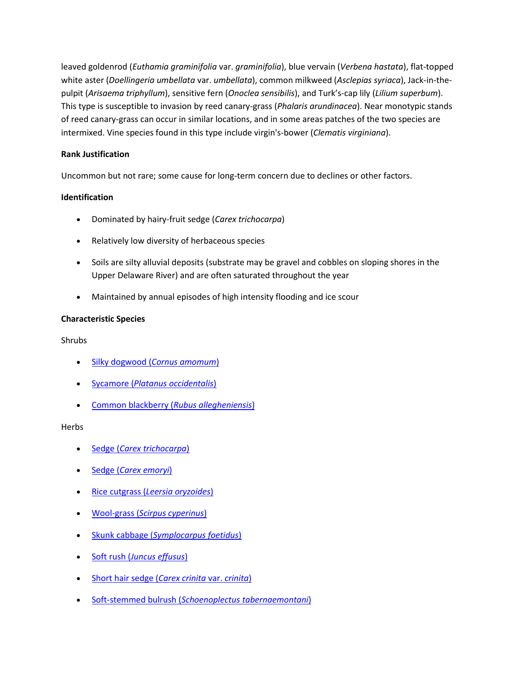leaved goldenrod (*Euthamia graminifolia* var. *graminifolia*), blue vervain (*Verbena hastata*), flat-topped white aster (*Doellingeria umbellata* var. *umbellata*), common milkweed (*Asclepias syriaca*), Jack-in-thepulpit (*Arisaema triphyllum*), sensitive fern (*Onoclea sensibilis*), and Turk's-cap lily (*Lilium superbum*). This type is susceptible to invasion by reed canary-grass (*Phalaris arundinacea*). Near monotypic stands of reed canary-grass can occur in similar locations, and in some areas patches of the two species are intermixed. Vine species found in this type include virgin's-bower (*Clematis virginiana*).

# **Rank Justification**

Uncommon but not rare; some cause for long-term concern due to declines or other factors.

## **Identification**

- Dominated by hairy-fruit sedge (*Carex trichocarpa*)
- Relatively low diversity of herbaceous species
- Soils are silty alluvial deposits (substrate may be gravel and cobbles on sloping shores in the Upper Delaware River) and are often saturated throughout the year
- Maintained by annual episodes of high intensity flooding and ice scour

## **Characteristic Species**

Shrubs

- Silky dogwood (*[Cornus amomum](http://www.natureserve.org/explorer/servlet/NatureServe?searchName=Cornus+amomum+ssp.+amomum)*)
- Sycamore (*[Platanus occidentalis](http://www.natureserve.org/explorer/servlet/NatureServe?searchName=Platanus+occidentalis)*)
- [Common blackberry \(](http://www.natureserve.org/explorer/servlet/NatureServe?searchName=Rubus+allegheniensis)*Rubus allegheniensis*)

## **Herbs**

- Sedge (*[Carex trichocarpa](http://www.natureserve.org/explorer/servlet/NatureServe?searchName=Carex+trichocarpa)*)
- Sedge (*[Carex emoryi](http://www.natureserve.org/explorer/servlet/NatureServe?searchName=Carex+emoryi)*)
- Rice cutgrass (*[Leersia oryzoides](http://www.natureserve.org/explorer/servlet/NatureServe?searchName=Leersia+oryzoides)*)
- Wool-grass (*[Scirpus cyperinus](http://www.natureserve.org/explorer/servlet/NatureServe?searchName=Scirpus+cyperinus)*)
- Skunk cabbage (*[Symplocarpus foetidus](http://www.natureserve.org/explorer/servlet/NatureServe?searchName=Symplocarpus+foetidus)*)
- Soft rush (*[Juncus effusus](http://www.natureserve.org/explorer/servlet/NatureServe?searchName=Juncus+effusus)*)
- [Short hair sedge \(](http://www.natureserve.org/explorer/servlet/NatureServe?searchName=Carex+crinita+var.+crinita)*Carex crinita* var. *crinita*)
- Soft-stemmed bulrush (*[Schoenoplectus tabernaemontani](http://www.natureserve.org/explorer/servlet/NatureServe?searchName=Schoenoplectus+tabernaemontani)*)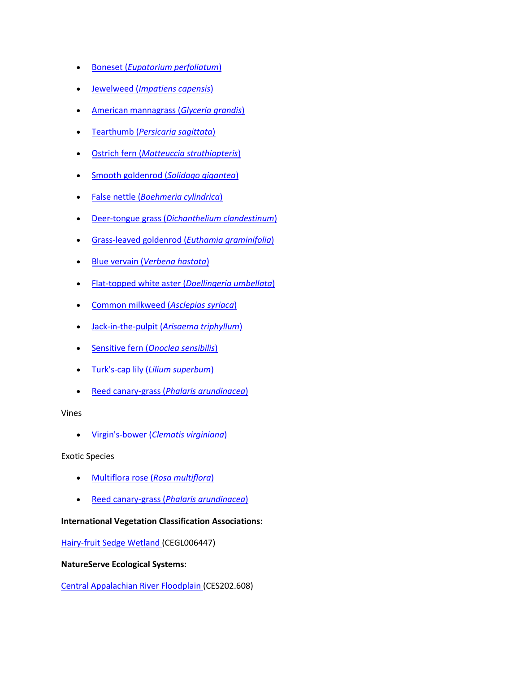- Boneset (*[Eupatorium perfoliatum](http://www.natureserve.org/explorer/servlet/NatureServe?searchName=Eupatorium+perfoliatum)*)
- Jewelweed (*[Impatiens capensis](http://www.natureserve.org/explorer/servlet/NatureServe?searchName=Impatiens+capensis)*)
- [American mannagrass \(](http://www.natureserve.org/explorer/servlet/NatureServe?searchName=Glyceria+grandis)*Glyceria grandis*)
- Tearthumb (*[Persicaria sagittata](http://www.natureserve.org/explorer/servlet/NatureServe?searchName=Polygonum+sagittatum%20)*)
- Ostrich fern (*[Matteuccia struthiopteris](http://www.natureserve.org/explorer/servlet/NatureServe?searchName=Matteuccia+struthiopteris)*)
- [Smooth goldenrod](http://www.natureserve.org/explorer/servlet/NatureServe?searchName=Solidago+gigantea) (*Solidago gigantea*)
- False nettle (*[Boehmeria cylindrica](http://www.natureserve.org/explorer/servlet/NatureServe?searchName=Boehmeria+cylindrica)*)
- Deer-tongue grass (*[Dichanthelium clandestinum](http://www.natureserve.org/explorer/servlet/NatureServe?searchName=Dichanthelium+clandestinum)*)
- [Grass-leaved goldenrod \(](http://www.natureserve.org/explorer/servlet/NatureServe?searchName=Euthamia+graminifolia+var.+graminifolia)*Euthamia graminifolia*)
- Blue vervain (*[Verbena hastata](http://www.natureserve.org/explorer/servlet/NatureServe?searchName=Verbena+hastata)*)
- [Flat-topped white aster \(](http://www.natureserve.org/explorer/servlet/NatureServe?searchName=Doellingeria+umbellata)*Doellingeria umbellata*)
- [Common milkweed \(](http://www.natureserve.org/explorer/servlet/NatureServe?searchName=Asclepias+syriaca)*Asclepias syriaca*)
- Jack-in-the-pulpit (*[Arisaema triphyllum](http://www.natureserve.org/explorer/servlet/NatureServe?searchName=Arisaema+triphyllum)*)
- Sensitive fern (*[Onoclea sensibilis](http://www.natureserve.org/explorer/servlet/NatureServe?searchName=Onoclea+sensibilis)*)
- Turk's-cap lily (*[Lilium superbum](http://www.natureserve.org/explorer/servlet/NatureServe?searchName=Lilium+superbum)*)
- Reed canary-grass (*[Phalaris arundinacea](http://www.natureserve.org/explorer/servlet/NatureServe?searchName=Phalaris+arundinacea)*)

Vines

Virgin's-bower (*[Clematis virginiana](http://www.natureserve.org/explorer/servlet/NatureServe?searchName=Clematis+virginiana)*)

Exotic Species

- [Multiflora rose \(](http://www.natureserve.org/explorer/servlet/NatureServe?searchName=Rosa+multiflora)*Rosa multiflora*)
- Reed canary-grass (*[Phalaris arundinacea](http://www.natureserve.org/explorer/servlet/NatureServe?searchName=Phalaris+arundinacea)*)

## **International Vegetation Classification Associations:**

[Hairy-fruit Sedge Wetland \(](http://www.natureserve.org/explorer/servlet/NatureServe?searchCommunityUid=ELEMENT_GLOBAL.2.791580)CEGL006447)

### **NatureServe Ecological Systems:**

[Central Appalachian River Floodplain \(](http://www.natureserve.org/explorer/servlet/NatureServe?searchSystemUid=ELEMENT_GLOBAL.2.723001)CES202.608)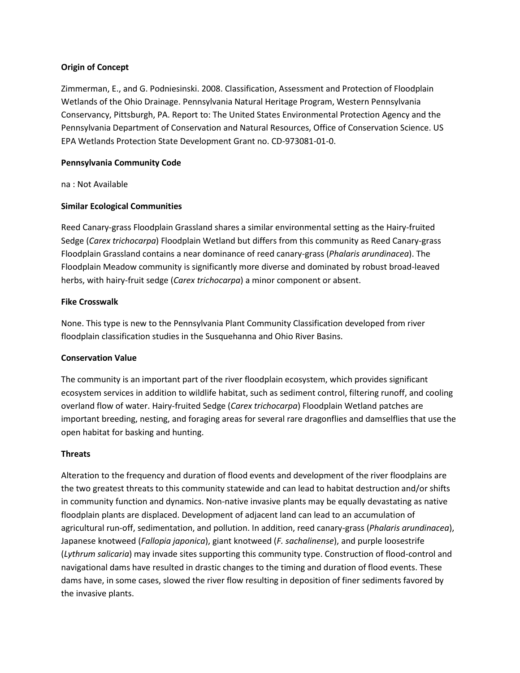## **Origin of Concept**

Zimmerman, E., and G. Podniesinski. 2008. Classification, Assessment and Protection of Floodplain Wetlands of the Ohio Drainage. Pennsylvania Natural Heritage Program, Western Pennsylvania Conservancy, Pittsburgh, PA. Report to: The United States Environmental Protection Agency and the Pennsylvania Department of Conservation and Natural Resources, Office of Conservation Science. US EPA Wetlands Protection State Development Grant no. CD-973081-01-0.

### **Pennsylvania Community Code**

na : Not Available

### **Similar Ecological Communities**

Reed Canary-grass Floodplain Grassland shares a similar environmental setting as the Hairy-fruited Sedge (*Carex trichocarpa*) Floodplain Wetland but differs from this community as Reed Canary-grass Floodplain Grassland contains a near dominance of reed canary-grass (*Phalaris arundinacea*). The Floodplain Meadow community is significantly more diverse and dominated by robust broad-leaved herbs, with hairy-fruit sedge (*Carex trichocarpa*) a minor component or absent.

### **Fike Crosswalk**

None. This type is new to the Pennsylvania Plant Community Classification developed from river floodplain classification studies in the Susquehanna and Ohio River Basins.

### **Conservation Value**

The community is an important part of the river floodplain ecosystem, which provides significant ecosystem services in addition to wildlife habitat, such as sediment control, filtering runoff, and cooling overland flow of water. Hairy-fruited Sedge (*Carex trichocarpa*) Floodplain Wetland patches are important breeding, nesting, and foraging areas for several rare dragonflies and damselflies that use the open habitat for basking and hunting.

### **Threats**

Alteration to the frequency and duration of flood events and development of the river floodplains are the two greatest threats to this community statewide and can lead to habitat destruction and/or shifts in community function and dynamics. Non-native invasive plants may be equally devastating as native floodplain plants are displaced. Development of adjacent land can lead to an accumulation of agricultural run-off, sedimentation, and pollution. In addition, reed canary-grass (*Phalaris arundinacea*), Japanese knotweed (*Fallopia japonica*), giant knotweed (*F. sachalinense*), and purple loosestrife (*Lythrum salicaria*) may invade sites supporting this community type. Construction of flood-control and navigational dams have resulted in drastic changes to the timing and duration of flood events. These dams have, in some cases, slowed the river flow resulting in deposition of finer sediments favored by the invasive plants.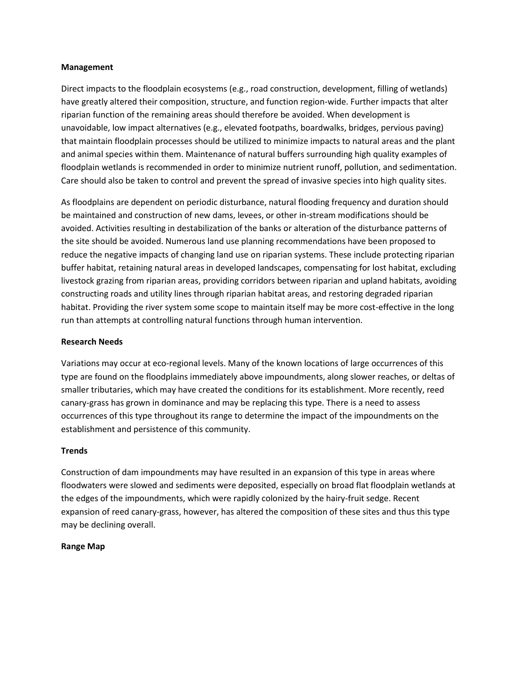### **Management**

Direct impacts to the floodplain ecosystems (e.g., road construction, development, filling of wetlands) have greatly altered their composition, structure, and function region-wide. Further impacts that alter riparian function of the remaining areas should therefore be avoided. When development is unavoidable, low impact alternatives (e.g., elevated footpaths, boardwalks, bridges, pervious paving) that maintain floodplain processes should be utilized to minimize impacts to natural areas and the plant and animal species within them. Maintenance of natural buffers surrounding high quality examples of floodplain wetlands is recommended in order to minimize nutrient runoff, pollution, and sedimentation. Care should also be taken to control and prevent the spread of invasive species into high quality sites.

As floodplains are dependent on periodic disturbance, natural flooding frequency and duration should be maintained and construction of new dams, levees, or other in-stream modifications should be avoided. Activities resulting in destabilization of the banks or alteration of the disturbance patterns of the site should be avoided. Numerous land use planning recommendations have been proposed to reduce the negative impacts of changing land use on riparian systems. These include protecting riparian buffer habitat, retaining natural areas in developed landscapes, compensating for lost habitat, excluding livestock grazing from riparian areas, providing corridors between riparian and upland habitats, avoiding constructing roads and utility lines through riparian habitat areas, and restoring degraded riparian habitat. Providing the river system some scope to maintain itself may be more cost-effective in the long run than attempts at controlling natural functions through human intervention.

### **Research Needs**

Variations may occur at eco-regional levels. Many of the known locations of large occurrences of this type are found on the floodplains immediately above impoundments, along slower reaches, or deltas of smaller tributaries, which may have created the conditions for its establishment. More recently, reed canary-grass has grown in dominance and may be replacing this type. There is a need to assess occurrences of this type throughout its range to determine the impact of the impoundments on the establishment and persistence of this community.

### **Trends**

Construction of dam impoundments may have resulted in an expansion of this type in areas where floodwaters were slowed and sediments were deposited, especially on broad flat floodplain wetlands at the edges of the impoundments, which were rapidly colonized by the hairy-fruit sedge. Recent expansion of reed canary-grass, however, has altered the composition of these sites and thus this type may be declining overall.

### **Range Map**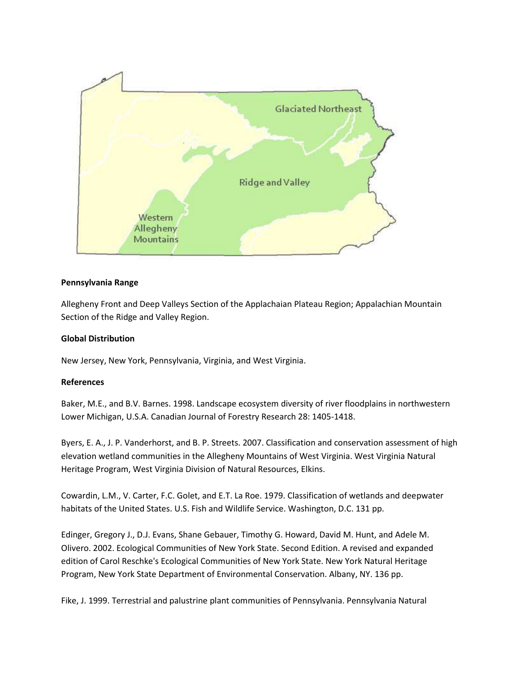

## **Pennsylvania Range**

Allegheny Front and Deep Valleys Section of the Applachaian Plateau Region; Appalachian Mountain Section of the Ridge and Valley Region.

## **Global Distribution**

New Jersey, New York, Pennsylvania, Virginia, and West Virginia.

## **References**

Baker, M.E., and B.V. Barnes. 1998. Landscape ecosystem diversity of river floodplains in northwestern Lower Michigan, U.S.A. Canadian Journal of Forestry Research 28: 1405-1418.

Byers, E. A., J. P. Vanderhorst, and B. P. Streets. 2007. Classification and conservation assessment of high elevation wetland communities in the Allegheny Mountains of West Virginia. West Virginia Natural Heritage Program, West Virginia Division of Natural Resources, Elkins.

Cowardin, L.M., V. Carter, F.C. Golet, and E.T. La Roe. 1979. Classification of wetlands and deepwater habitats of the United States. U.S. Fish and Wildlife Service. Washington, D.C. 131 pp.

Edinger, Gregory J., D.J. Evans, Shane Gebauer, Timothy G. Howard, David M. Hunt, and Adele M. Olivero. 2002. Ecological Communities of New York State. Second Edition. A revised and expanded edition of Carol Reschke's Ecological Communities of New York State. New York Natural Heritage Program, New York State Department of Environmental Conservation. Albany, NY. 136 pp.

Fike, J. 1999. Terrestrial and palustrine plant communities of Pennsylvania. Pennsylvania Natural